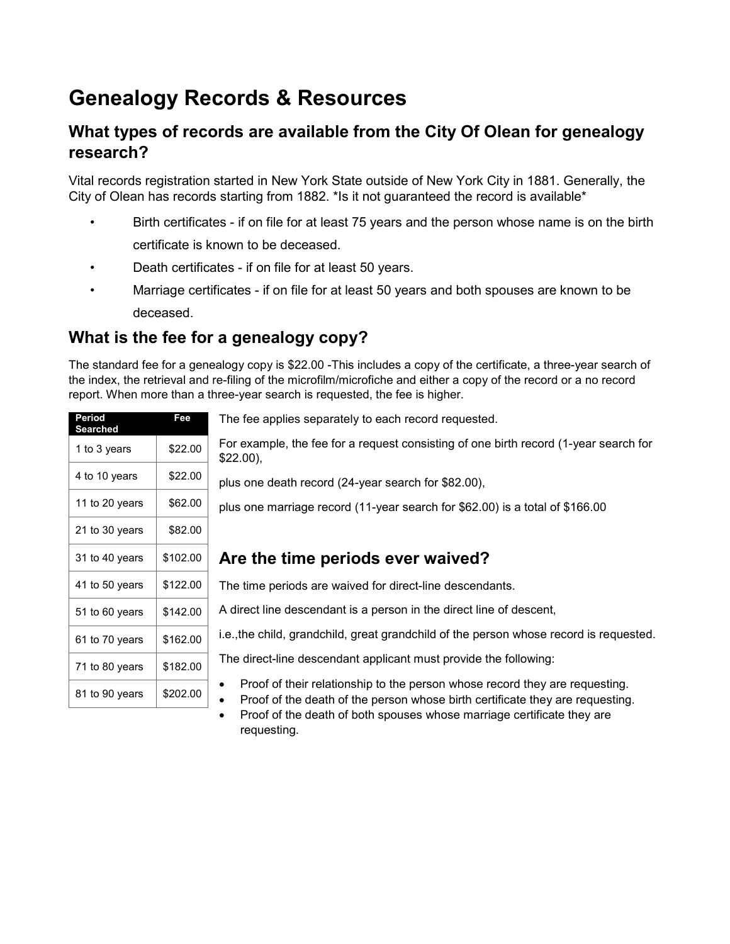# **Genealogy Records & Resources**

#### **What types of records are available from the City Of Olean for genealogy research?**

Vital records registration started in New York State outside of New York City in 1881. Generally, the City of Olean has records starting from 1882. \*Is it not guaranteed the record is available\*

- Birth certificates if on file for at least 75 years and the person whose name is on the birth certificate is known to be deceased.
- Death certificates if on file for at least 50 years.
- Marriage certificates if on file for at least 50 years and both spouses are known to be deceased.

## **What is the fee for a genealogy copy?**

The standard fee for a genealogy copy is \$22.00 -This includes a copy of the certificate, a three-year search of the index, the retrieval and re-filing of the microfilm/microfiche and either a copy of the record or a no record report. When more than a three-year search is requested, the fee is higher.

| Period<br><b>Searched</b> | Fee      | ī       |
|---------------------------|----------|---------|
| 1 to 3 years              | \$22.00  | F<br>\$ |
| 4 to 10 years             | \$22.00  | p       |
| 11 to 20 years            | \$62.00  | р       |
| 21 to 30 years            | \$82.00  |         |
| 31 to 40 years            | \$102.00 | I       |
| 41 to 50 years            | \$122.00 | ٦       |
| 51 to 60 years            | \$142.00 | A       |
| 61 to 70 years            | \$162.00 | i.      |
| 71 to 80 years            | \$182.00 | ı       |
| 81 to 90 years            | \$202.00 |         |

The fee applies separately to each record requested.

For example, the fee for a request consisting of one birth record (1-year search for \$22.00),

plus one death record (24-year search for \$82.00),

plus one marriage record (11-year search for \$62.00) is a total of \$166.00

### **Are the time periods ever waived?**

The time periods are waived for direct-line descendants.

A direct line descendant is a person in the direct line of descent,

i.e.,the child, grandchild, great grandchild of the person whose record is requested.

The direct-line descendant applicant must provide the following:

- Proof of their relationship to the person whose record they are requesting.
- Proof of the death of the person whose birth certificate they are requesting.
- Proof of the death of both spouses whose marriage certificate they are requesting.